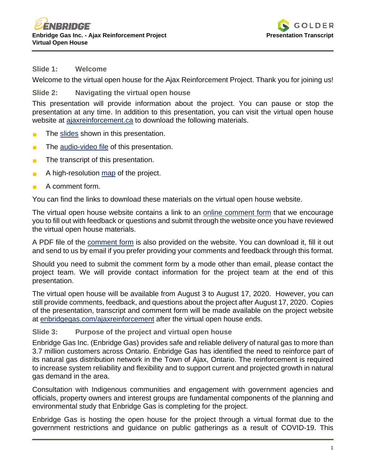

#### **Slide 1: Welcome**

Welcome to the virtual open house for the Ajax Reinforcement Project. Thank you for joining us!

### **Slide 2: Navigating the virtual open house**

This presentation will provide information about the project. You can pause or stop the presentation at any time. In addition to this presentation, you can visit the virtual open house website at [ajaxreinforcement.ca](http://www.ajaxreinforcement.ca/) to download the following materials.

- The [slides](http://www.ajaxreinforcement.ca/Home/Download?strFileName=Ajax_VOH_Presentation.pdf&strExt=pdf) shown in this presentation.
- The [audio-video file](http://www.ajaxreinforcement.ca/Home/Download?strFileName=Ajax_VOH_Recording.mp4&strExt=mp4) of this presentation.
- The transcript of this presentation.
- A high-resolution [map](http://www.ajaxreinforcement.ca/Home/Download?strFileName=Ajax_VOH_no_aerial_map.pdf&strExt=pdf) of the project.
- A comment form.

You can find the links to download these materials on the virtual open house website.

The virtual open house website contains a link to an [online comment form](http://www.ajaxreinforcement.ca/Home/Comments) that we encourage you to fill out with feedback or questions and submit through the website once you have reviewed the virtual open house materials.

A PDF file of the [comment form](http://www.ajaxreinforcement.ca/Home/Download?strFileName=Ajax_VOH_Comment.pdf&strExt=pdf) is also provided on the website. You can download it, fill it out and send to us by email if you prefer providing your comments and feedback through this format.

Should you need to submit the comment form by a mode other than email, please contact the project team. We will provide contact information for the project team at the end of this presentation.

The virtual open house will be available from August 3 to August 17, 2020. However, you can still provide comments, feedback, and questions about the project after August 17, 2020. Copies of the presentation, transcript and comment form will be made available on the project website at [enbridgegas.com/ajaxreinforcement](http://www.enbridgegas.com/ajaxreinforcement) after the virtual open house ends.

### **Slide 3: Purpose of the project and virtual open house**

Enbridge Gas Inc. (Enbridge Gas) provides safe and reliable delivery of natural gas to more than 3.7 million customers across Ontario. Enbridge Gas has identified the need to reinforce part of its natural gas distribution network in the Town of Ajax, Ontario. The reinforcement is required to increase system reliability and flexibility and to support current and projected growth in natural gas demand in the area.

Consultation with Indigenous communities and engagement with government agencies and officials, property owners and interest groups are fundamental components of the planning and environmental study that Enbridge Gas is completing for the project.

Enbridge Gas is hosting the open house for the project through a virtual format due to the government restrictions and guidance on public gatherings as a result of COVID-19. This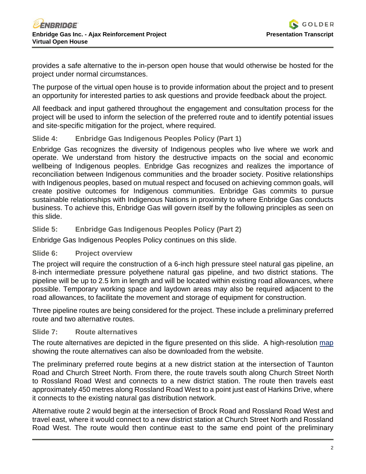provides a safe alternative to the in-person open house that would otherwise be hosted for the project under normal circumstances.

The purpose of the virtual open house is to provide information about the project and to present an opportunity for interested parties to ask questions and provide feedback about the project.

All feedback and input gathered throughout the engagement and consultation process for the project will be used to inform the selection of the preferred route and to identify potential issues and site-specific mitigation for the project, where required.

### **Slide 4: Enbridge Gas Indigenous Peoples Policy (Part 1)**

Enbridge Gas recognizes the diversity of Indigenous peoples who live where we work and operate. We understand from history the destructive impacts on the social and economic wellbeing of Indigenous peoples. Enbridge Gas recognizes and realizes the importance of reconciliation between Indigenous communities and the broader society. Positive relationships with Indigenous peoples, based on mutual respect and focused on achieving common goals, will create positive outcomes for Indigenous communities. Enbridge Gas commits to pursue sustainable relationships with Indigenous Nations in proximity to where Enbridge Gas conducts business. To achieve this, Enbridge Gas will govern itself by the following principles as seen on this slide.

### **Slide 5: Enbridge Gas Indigenous Peoples Policy (Part 2)**

Enbridge Gas Indigenous Peoples Policy continues on this slide.

### **Slide 6: Project overview**

The project will require the construction of a 6-inch high pressure steel natural gas pipeline, an 8-inch intermediate pressure polyethene natural gas pipeline, and two district stations. The pipeline will be up to 2.5 km in length and will be located within existing road allowances, where possible. Temporary working space and laydown areas may also be required adjacent to the road allowances, to facilitate the movement and storage of equipment for construction.

Three pipeline routes are being considered for the project. These include a preliminary preferred route and two alternative routes.

### **Slide 7: Route alternatives**

The route alternatives are depicted in the figure presented on this slide. A high-resolution [map](http://www.ajaxreinforcement.ca/Home/Download?strFileName=Ajax_VOH_no_aerial_map.pdf&strExt=pdf) showing the route alternatives can also be downloaded from the website.

The preliminary preferred route begins at a new district station at the intersection of Taunton Road and Church Street North. From there, the route travels south along Church Street North to Rossland Road West and connects to a new district station. The route then travels east approximately 450 metres along Rossland Road West to a point just east of Harkins Drive, where it connects to the existing natural gas distribution network.

Alternative route 2 would begin at the intersection of Brock Road and Rossland Road West and travel east, where it would connect to a new district station at Church Street North and Rossland Road West. The route would then continue east to the same end point of the preliminary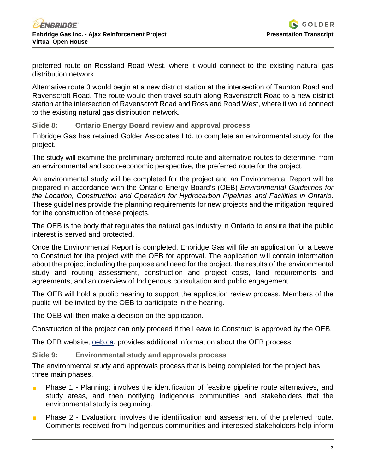

preferred route on Rossland Road West, where it would connect to the existing natural gas distribution network.

Alternative route 3 would begin at a new district station at the intersection of Taunton Road and Ravenscroft Road. The route would then travel south along Ravenscroft Road to a new district station at the intersection of Ravenscroft Road and Rossland Road West, where it would connect to the existing natural gas distribution network.

**Slide 8: Ontario Energy Board review and approval process**

Enbridge Gas has retained Golder Associates Ltd. to complete an environmental study for the project.

The study will examine the preliminary preferred route and alternative routes to determine, from an environmental and socio-economic perspective, the preferred route for the project.

An environmental study will be completed for the project and an Environmental Report will be prepared in accordance with the Ontario Energy Board's (OEB) *Environmental Guidelines for the Location, Construction and Operation for Hydrocarbon Pipelines and Facilities in Ontario*. These guidelines provide the planning requirements for new projects and the mitigation required for the construction of these projects.

The OEB is the body that regulates the natural gas industry in Ontario to ensure that the public interest is served and protected.

Once the Environmental Report is completed, Enbridge Gas will file an application for a Leave to Construct for the project with the OEB for approval. The application will contain information about the project including the purpose and need for the project, the results of the environmental study and routing assessment, construction and project costs, land requirements and agreements, and an overview of Indigenous consultation and public engagement.

The OEB will hold a public hearing to support the application review process. Members of the public will be invited by the OEB to participate in the hearing.

The OEB will then make a decision on the application.

Construction of the project can only proceed if the Leave to Construct is approved by the OEB.

The OEB website, [oeb.ca,](http://www.oeb.ca/) provides additional information about the OEB process.

**Slide 9: Environmental study and approvals process**

The environmental study and approvals process that is being completed for the project has three main phases.

- **Phase 1 Planning: involves the identification of feasible pipeline route alternatives, and** study areas, and then notifying Indigenous communities and stakeholders that the environmental study is beginning.
- Phase 2 Evaluation: involves the identification and assessment of the preferred route. Comments received from Indigenous communities and interested stakeholders help inform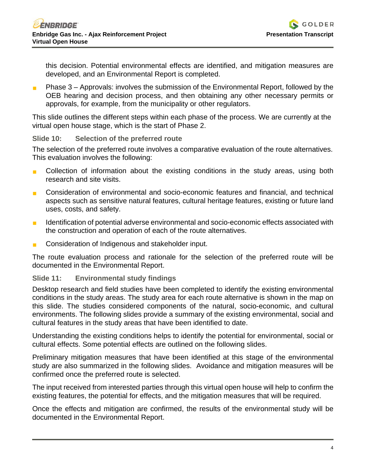this decision. Potential environmental effects are identified, and mitigation measures are developed, and an Environmental Report is completed.

 Phase 3 – Approvals: involves the submission of the Environmental Report, followed by the OEB hearing and decision process, and then obtaining any other necessary permits or approvals, for example, from the municipality or other regulators.

This slide outlines the different steps within each phase of the process. We are currently at the virtual open house stage, which is the start of Phase 2.

### **Slide 10: Selection of the preferred route**

The selection of the preferred route involves a comparative evaluation of the route alternatives. This evaluation involves the following:

- **Collection of information about the existing conditions in the study areas, using both** research and site visits.
- Consideration of environmental and socio-economic features and financial, and technical aspects such as sensitive natural features, cultural heritage features, existing or future land uses, costs, and safety.
- **IDED** Identification of potential adverse environmental and socio-economic effects associated with the construction and operation of each of the route alternatives.
- **Consideration of Indigenous and stakeholder input.**

The route evaluation process and rationale for the selection of the preferred route will be documented in the Environmental Report.

# **Slide 11: Environmental study findings**

Desktop research and field studies have been completed to identify the existing environmental conditions in the study areas. The study area for each route alternative is shown in the map on this slide. The studies considered components of the natural, socio-economic, and cultural environments. The following slides provide a summary of the existing environmental, social and cultural features in the study areas that have been identified to date.

Understanding the existing conditions helps to identify the potential for environmental, social or cultural effects. Some potential effects are outlined on the following slides.

Preliminary mitigation measures that have been identified at this stage of the environmental study are also summarized in the following slides. Avoidance and mitigation measures will be confirmed once the preferred route is selected.

The input received from interested parties through this virtual open house will help to confirm the existing features, the potential for effects, and the mitigation measures that will be required.

Once the effects and mitigation are confirmed, the results of the environmental study will be documented in the Environmental Report.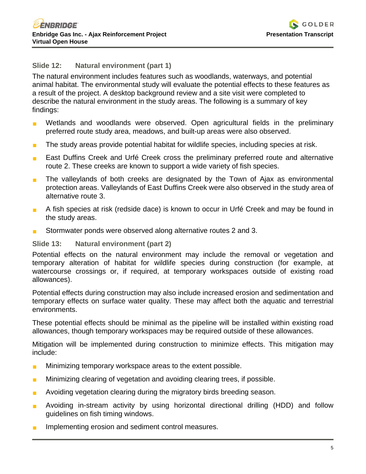# **Slide 12: Natural environment (part 1)**

The natural environment includes features such as woodlands, waterways, and potential animal habitat. The environmental study will evaluate the potential effects to these features as a result of the project. A desktop background review and a site visit were completed to describe the natural environment in the study areas. The following is a summary of key findings:

- **Number** Wetlands and woodlands were observed. Open agricultural fields in the preliminary preferred route study area, meadows, and built-up areas were also observed.
- The study areas provide potential habitat for wildlife species, including species at risk.
- **East Duffins Creek and Urfé Creek cross the preliminary preferred route and alternative** route 2. These creeks are known to support a wide variety of fish species.
- **The valleylands of both creeks are designated by the Town of Ajax as environmental** protection areas. Valleylands of East Duffins Creek were also observed in the study area of alternative route 3.
- A fish species at risk (redside dace) is known to occur in Urfé Creek and may be found in the study areas.
- **Stormwater ponds were observed along alternative routes 2 and 3.**

### **Slide 13: Natural environment (part 2)**

Potential effects on the natural environment may include the removal or vegetation and temporary alteration of habitat for wildlife species during construction (for example, at watercourse crossings or, if required, at temporary workspaces outside of existing road allowances).

Potential effects during construction may also include increased erosion and sedimentation and temporary effects on surface water quality. These may affect both the aquatic and terrestrial environments.

These potential effects should be minimal as the pipeline will be installed within existing road allowances, though temporary workspaces may be required outside of these allowances.

Mitigation will be implemented during construction to minimize effects. This mitigation may include:

- **Minimizing temporary workspace areas to the extent possible.**
- **Minimizing clearing of vegetation and avoiding clearing trees, if possible.**
- Avoiding vegetation clearing during the migratory birds breeding season.
- **Avoiding in-stream activity by using horizontal directional drilling (HDD) and follow** guidelines on fish timing windows.
- Implementing erosion and sediment control measures.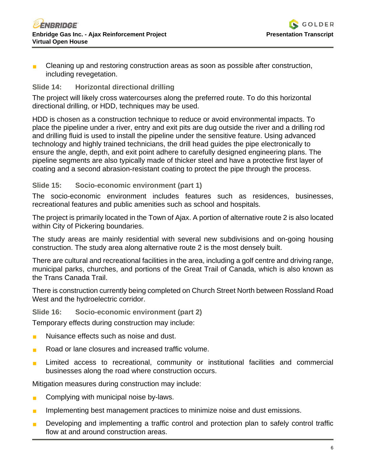

 Cleaning up and restoring construction areas as soon as possible after construction, including revegetation.

# **Slide 14: Horizontal directional drilling**

The project will likely cross watercourses along the preferred route. To do this horizontal directional drilling, or HDD, techniques may be used.

HDD is chosen as a construction technique to reduce or avoid environmental impacts. To place the pipeline under a river, entry and exit pits are dug outside the river and a drilling rod and drilling fluid is used to install the pipeline under the sensitive feature. Using advanced technology and highly trained technicians, the drill head guides the pipe electronically to ensure the angle, depth, and exit point adhere to carefully designed engineering plans. The pipeline segments are also typically made of thicker steel and have a protective first layer of coating and a second abrasion-resistant coating to protect the pipe through the process.

### **Slide 15: Socio-economic environment (part 1)**

The socio-economic environment includes features such as residences, businesses, recreational features and public amenities such as school and hospitals.

The project is primarily located in the Town of Ajax. A portion of alternative route 2 is also located within City of Pickering boundaries.

The study areas are mainly residential with several new subdivisions and on-going housing construction. The study area along alternative route 2 is the most densely built.

There are cultural and recreational facilities in the area, including a golf centre and driving range, municipal parks, churches, and portions of the Great Trail of Canada, which is also known as the Trans Canada Trail.

There is construction currently being completed on Church Street North between Rossland Road West and the hydroelectric corridor.

### **Slide 16: Socio-economic environment (part 2)**

Temporary effects during construction may include:

- Nuisance effects such as noise and dust.
- Road or lane closures and increased traffic volume.
- **Limited access to recreational, community or institutional facilities and commercial** businesses along the road where construction occurs.

Mitigation measures during construction may include:

- **Complying with municipal noise by-laws.**
- Implementing best management practices to minimize noise and dust emissions.
- **Developing and implementing a traffic control and protection plan to safely control traffic** flow at and around construction areas.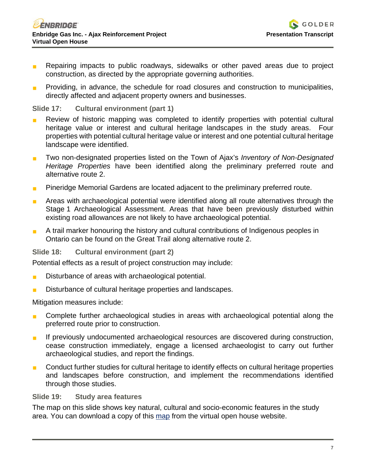- Repairing impacts to public roadways, sidewalks or other paved areas due to project construction, as directed by the appropriate governing authorities.
- **Providing, in advance, the schedule for road closures and construction to municipalities,** directly affected and adjacent property owners and businesses.

### **Slide 17: Cultural environment (part 1)**

- Review of historic mapping was completed to identify properties with potential cultural heritage value or interest and cultural heritage landscapes in the study areas. Four heritage value or interest and cultural heritage landscapes in the study areas. properties with potential cultural heritage value or interest and one potential cultural heritage landscape were identified.
- Two non-designated properties listed on the Town of Ajax's *Inventory of Non-Designated Heritage Properties* have been identified along the preliminary preferred route and alternative route 2.
- **Pineridge Memorial Gardens are located adjacent to the preliminary preferred route.**
- **Areas with archaeological potential were identified along all route alternatives through the** Stage 1 Archaeological Assessment. Areas that have been previously disturbed within existing road allowances are not likely to have archaeological potential.
- A trail marker honouring the history and cultural contributions of Indigenous peoples in Ontario can be found on the Great Trail along alternative route 2.

### **Slide 18: Cultural environment (part 2)**

Potential effects as a result of project construction may include:

- **Disturbance of areas with archaeological potential.**
- **Disturbance of cultural heritage properties and landscapes.**

Mitigation measures include:

- **Complete further archaeological studies in areas with archaeological potential along the** preferred route prior to construction.
- If previously undocumented archaeological resources are discovered during construction, cease construction immediately, engage a licensed archaeologist to carry out further archaeological studies, and report the findings.
- **Conduct further studies for cultural heritage to identify effects on cultural heritage properties** and landscapes before construction, and implement the recommendations identified through those studies.

### **Slide 19: Study area features**

The map on this slide shows key natural, cultural and socio-economic features in the study area. You can download a copy of this [map](http://www.ajaxreinforcement.ca/Home/Download?strFileName=Ajax_VOH_no_aerial_map.pdf&strExt=pdf) from the virtual open house website.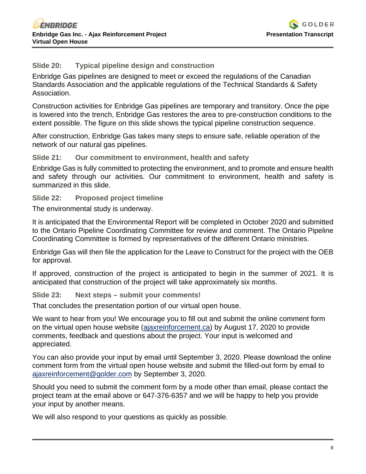

# **Slide 20: Typical pipeline design and construction**

Enbridge Gas pipelines are designed to meet or exceed the regulations of the Canadian Standards Association and the applicable regulations of the Technical Standards & Safety Association.

Construction activities for Enbridge Gas pipelines are temporary and transitory. Once the pipe is lowered into the trench, Enbridge Gas restores the area to pre-construction conditions to the extent possible. The figure on this slide shows the typical pipeline construction sequence.

After construction, Enbridge Gas takes many steps to ensure safe, reliable operation of the network of our natural gas pipelines.

#### **Slide 21: Our commitment to environment, health and safety**

Enbridge Gas is fully committed to protecting the environment, and to promote and ensure health and safety through our activities. Our commitment to environment, health and safety is summarized in this slide.

#### **Slide 22: Proposed project timeline**

The environmental study is underway.

It is anticipated that the Environmental Report will be completed in October 2020 and submitted to the Ontario Pipeline Coordinating Committee for review and comment. The Ontario Pipeline Coordinating Committee is formed by representatives of the different Ontario ministries.

Enbridge Gas will then file the application for the Leave to Construct for the project with the OEB for approval.

If approved, construction of the project is anticipated to begin in the summer of 2021. It is anticipated that construction of the project will take approximately six months.

**Slide 23: Next steps – submit your comments!**

That concludes the presentation portion of our virtual open house.

We want to hear from you! We encourage you to fill out and submit the online comment form on the virtual open house website [\(ajaxreinforcement.ca\)](http://www.ajaxreinforcement.ca/) by August 17, 2020 to provide comments, feedback and questions about the project. Your input is welcomed and appreciated.

You can also provide your input by email until September 3, 2020. Please download the online comment form from the virtual open house website and submit the filled-out form by email to [ajaxreinforcement@golder.com](mailto:AjaxReinforcement@golder.com) by September 3, 2020.

Should you need to submit the comment form by a mode other than email, please contact the project team at the email above or 647-376-6357 and we will be happy to help you provide your input by another means.

We will also respond to your questions as quickly as possible.